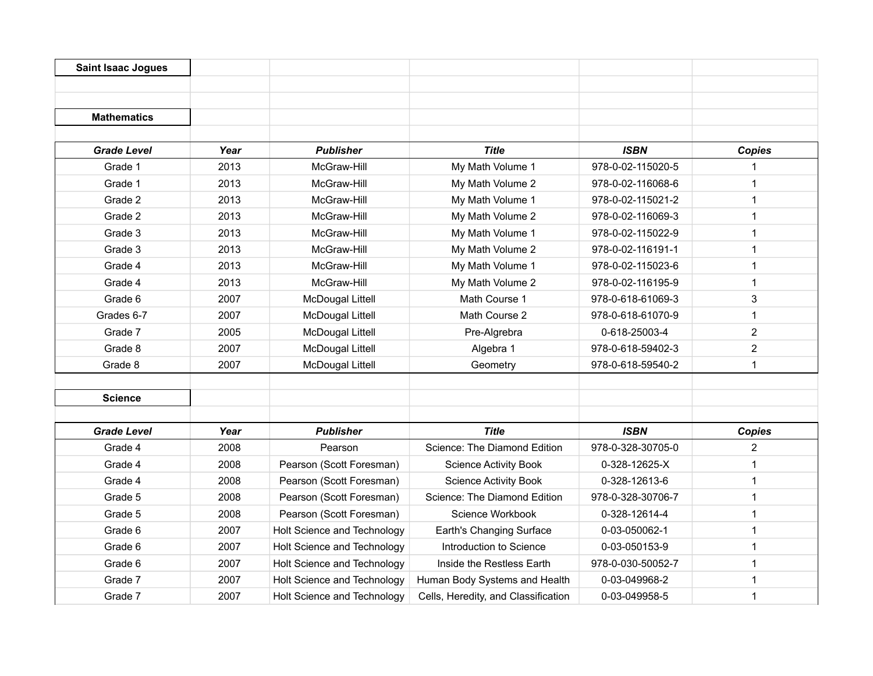| <b>Saint Isaac Jogues</b> |      |                             |                                     |                   |               |
|---------------------------|------|-----------------------------|-------------------------------------|-------------------|---------------|
|                           |      |                             |                                     |                   |               |
| <b>Mathematics</b>        |      |                             |                                     |                   |               |
|                           |      |                             |                                     |                   |               |
| <b>Grade Level</b>        | Year | <b>Publisher</b>            | <b>Title</b>                        | <b>ISBN</b>       | <b>Copies</b> |
| Grade 1                   | 2013 | McGraw-Hill                 | My Math Volume 1                    | 978-0-02-115020-5 | 1             |
| Grade 1                   | 2013 | McGraw-Hill                 | My Math Volume 2                    | 978-0-02-116068-6 | 1             |
| Grade 2                   | 2013 | McGraw-Hill                 | My Math Volume 1                    | 978-0-02-115021-2 | 1             |
| Grade 2                   | 2013 | McGraw-Hill                 | My Math Volume 2                    | 978-0-02-116069-3 | 1             |
| Grade 3                   | 2013 | McGraw-Hill                 | My Math Volume 1                    | 978-0-02-115022-9 | 1             |
| Grade 3                   | 2013 | McGraw-Hill                 | My Math Volume 2                    | 978-0-02-116191-1 | 1             |
| Grade 4                   | 2013 | McGraw-Hill                 | My Math Volume 1                    | 978-0-02-115023-6 | 1             |
| Grade 4                   | 2013 | McGraw-Hill                 | My Math Volume 2                    | 978-0-02-116195-9 | $\mathbf 1$   |
| Grade 6                   | 2007 | <b>McDougal Littell</b>     | Math Course 1                       | 978-0-618-61069-3 | 3             |
| Grades 6-7                | 2007 | <b>McDougal Littell</b>     | Math Course 2                       | 978-0-618-61070-9 | 1             |
| Grade 7                   | 2005 | <b>McDougal Littell</b>     | Pre-Algrebra                        | 0-618-25003-4     | 2             |
| Grade 8                   | 2007 | <b>McDougal Littell</b>     | Algebra 1                           | 978-0-618-59402-3 | 2             |
| Grade 8                   | 2007 | <b>McDougal Littell</b>     | Geometry                            | 978-0-618-59540-2 | $\mathbf 1$   |
| <b>Science</b>            |      |                             |                                     |                   |               |
| <b>Grade Level</b>        | Year | <b>Publisher</b>            | <b>Title</b>                        | <b>ISBN</b>       | <b>Copies</b> |
| Grade 4                   | 2008 | Pearson                     | Science: The Diamond Edition        | 978-0-328-30705-0 | 2             |
| Grade 4                   | 2008 | Pearson (Scott Foresman)    | <b>Science Activity Book</b>        | 0-328-12625-X     | 1             |
| Grade 4                   | 2008 | Pearson (Scott Foresman)    | <b>Science Activity Book</b>        | 0-328-12613-6     | $\mathbf 1$   |
| Grade 5                   | 2008 | Pearson (Scott Foresman)    | Science: The Diamond Edition        | 978-0-328-30706-7 | 1             |
| Grade 5                   | 2008 | Pearson (Scott Foresman)    | Science Workbook                    | 0-328-12614-4     | 1             |
| Grade 6                   | 2007 | Holt Science and Technology | Earth's Changing Surface            | 0-03-050062-1     | $\mathbf 1$   |
| Grade 6                   | 2007 | Holt Science and Technology | Introduction to Science             | 0-03-050153-9     | 1             |
| Grade 6                   | 2007 | Holt Science and Technology | Inside the Restless Earth           | 978-0-030-50052-7 | 1             |
| Grade 7                   | 2007 | Holt Science and Technology | Human Body Systems and Health       | 0-03-049968-2     | 1             |
| Grade 7                   | 2007 | Holt Science and Technology | Cells, Heredity, and Classification | 0-03-049958-5     | 1             |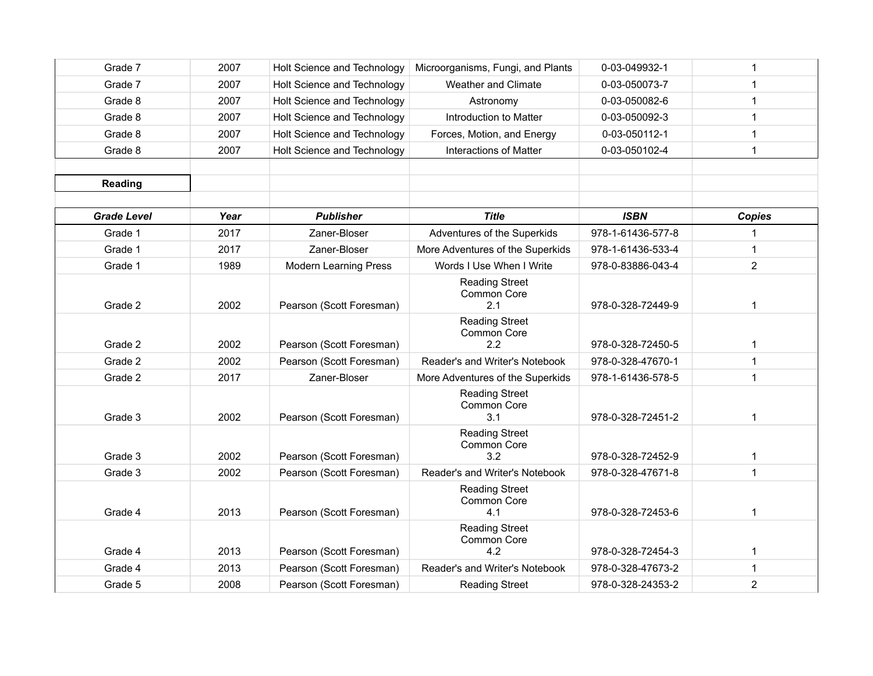| Grade 7            | 2007 | Holt Science and Technology  | Microorganisms, Fungi, and Plants           | 0-03-049932-1     | 1              |
|--------------------|------|------------------------------|---------------------------------------------|-------------------|----------------|
| Grade 7            | 2007 | Holt Science and Technology  | <b>Weather and Climate</b>                  | 0-03-050073-7     | 1              |
| Grade 8            | 2007 | Holt Science and Technology  | Astronomy                                   | 0-03-050082-6     | 1              |
| Grade 8            | 2007 | Holt Science and Technology  | Introduction to Matter                      | 0-03-050092-3     | 1              |
| Grade 8            | 2007 | Holt Science and Technology  | Forces, Motion, and Energy                  | 0-03-050112-1     | 1              |
| Grade 8            | 2007 | Holt Science and Technology  | <b>Interactions of Matter</b>               | 0-03-050102-4     | 1              |
|                    |      |                              |                                             |                   |                |
| <b>Reading</b>     |      |                              |                                             |                   |                |
|                    |      |                              |                                             |                   |                |
| <b>Grade Level</b> | Year | <b>Publisher</b>             | <b>Title</b>                                | <b>ISBN</b>       | <b>Copies</b>  |
| Grade 1            | 2017 | Zaner-Bloser                 | Adventures of the Superkids                 | 978-1-61436-577-8 | 1              |
| Grade 1            | 2017 | Zaner-Bloser                 | More Adventures of the Superkids            | 978-1-61436-533-4 | $\mathbf 1$    |
| Grade 1            | 1989 | <b>Modern Learning Press</b> | Words I Use When I Write                    | 978-0-83886-043-4 | $\overline{2}$ |
| Grade 2            | 2002 | Pearson (Scott Foresman)     | <b>Reading Street</b><br>Common Core<br>2.1 | 978-0-328-72449-9 | $\mathbf 1$    |
| Grade 2            | 2002 | Pearson (Scott Foresman)     | <b>Reading Street</b><br>Common Core<br>2.2 | 978-0-328-72450-5 | $\mathbf 1$    |
| Grade 2            | 2002 | Pearson (Scott Foresman)     | Reader's and Writer's Notebook              | 978-0-328-47670-1 | 1              |
| Grade 2            | 2017 | Zaner-Bloser                 | More Adventures of the Superkids            | 978-1-61436-578-5 | $\mathbf{1}$   |
| Grade 3            | 2002 | Pearson (Scott Foresman)     | <b>Reading Street</b><br>Common Core<br>3.1 | 978-0-328-72451-2 | 1              |
| Grade 3            | 2002 | Pearson (Scott Foresman)     | <b>Reading Street</b><br>Common Core<br>3.2 | 978-0-328-72452-9 | 1              |
| Grade 3            | 2002 | Pearson (Scott Foresman)     | Reader's and Writer's Notebook              | 978-0-328-47671-8 | 1              |
| Grade 4            | 2013 | Pearson (Scott Foresman)     | <b>Reading Street</b><br>Common Core<br>4.1 | 978-0-328-72453-6 | 1              |
| Grade 4            | 2013 | Pearson (Scott Foresman)     | <b>Reading Street</b><br>Common Core<br>4.2 | 978-0-328-72454-3 | 1              |
| Grade 4            | 2013 | Pearson (Scott Foresman)     | Reader's and Writer's Notebook              | 978-0-328-47673-2 | 1              |
| Grade 5            | 2008 | Pearson (Scott Foresman)     | <b>Reading Street</b>                       | 978-0-328-24353-2 | $\overline{2}$ |
|                    |      |                              |                                             |                   |                |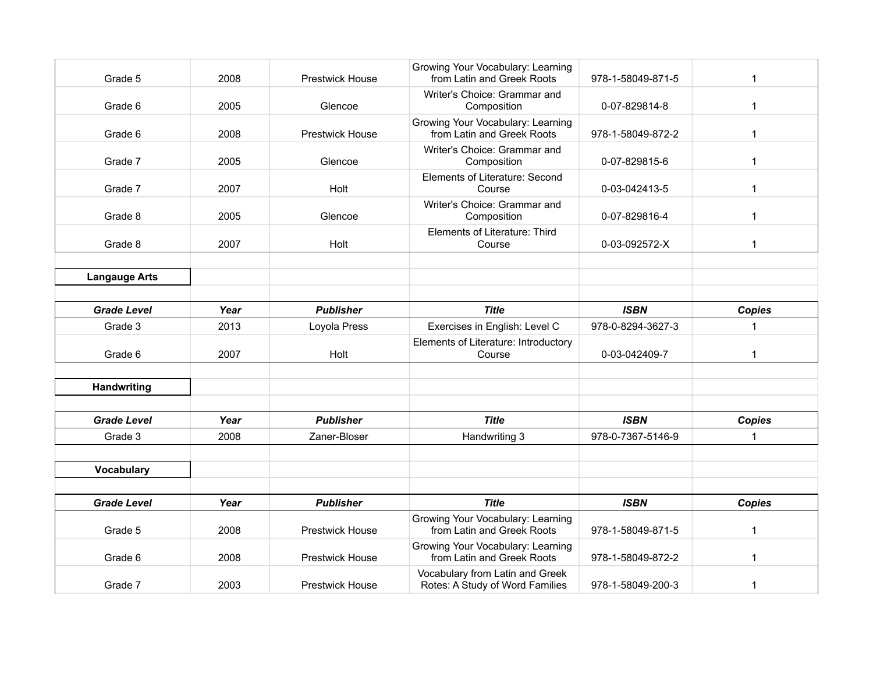| Grade 5              | 2008 | <b>Prestwick House</b> | Growing Your Vocabulary: Learning<br>from Latin and Greek Roots | 978-1-58049-871-5 | 1             |
|----------------------|------|------------------------|-----------------------------------------------------------------|-------------------|---------------|
| Grade 6              | 2005 | Glencoe                | Writer's Choice: Grammar and<br>Composition                     | 0-07-829814-8     | $\mathbf 1$   |
| Grade 6              | 2008 | <b>Prestwick House</b> | Growing Your Vocabulary: Learning<br>from Latin and Greek Roots | 978-1-58049-872-2 | $\mathbf 1$   |
| Grade 7              | 2005 | Glencoe                | Writer's Choice: Grammar and<br>Composition                     | 0-07-829815-6     | 1             |
| Grade 7              | 2007 | Holt                   | Elements of Literature: Second<br>Course                        | 0-03-042413-5     | 1             |
| Grade 8              | 2005 | Glencoe                | Writer's Choice: Grammar and<br>Composition                     | 0-07-829816-4     | $\mathbf 1$   |
| Grade 8              | 2007 | Holt                   | Elements of Literature: Third<br>Course                         | 0-03-092572-X     | 1             |
|                      |      |                        |                                                                 |                   |               |
| <b>Langauge Arts</b> |      |                        |                                                                 |                   |               |
|                      |      |                        |                                                                 |                   |               |
| <b>Grade Level</b>   | Year | <b>Publisher</b>       | <b>Title</b>                                                    | <b>ISBN</b>       | <b>Copies</b> |
| Grade 3              | 2013 | Loyola Press           | Exercises in English: Level C                                   | 978-0-8294-3627-3 | $\mathbf{1}$  |
|                      |      |                        | Elements of Literature: Introductory                            |                   |               |
| Grade 6              | 2007 | Holt                   | Course                                                          | 0-03-042409-7     | $\mathbf 1$   |
|                      |      |                        |                                                                 |                   |               |
| <b>Handwriting</b>   |      |                        |                                                                 |                   |               |
|                      |      |                        |                                                                 |                   |               |
| <b>Grade Level</b>   | Year | <b>Publisher</b>       | <b>Title</b>                                                    | <b>ISBN</b>       | <b>Copies</b> |
| Grade 3              | 2008 | Zaner-Bloser           | Handwriting 3                                                   | 978-0-7367-5146-9 | 1             |
|                      |      |                        |                                                                 |                   |               |
| Vocabulary           |      |                        |                                                                 |                   |               |
|                      |      |                        |                                                                 |                   |               |
| <b>Grade Level</b>   | Year | <b>Publisher</b>       | <b>Title</b>                                                    | <b>ISBN</b>       | <b>Copies</b> |
| Grade 5              | 2008 | Prestwick House        | Growing Your Vocabulary: Learning<br>from Latin and Greek Roots | 978-1-58049-871-5 | $\mathbf 1$   |
| Grade 6              | 2008 | <b>Prestwick House</b> | Growing Your Vocabulary: Learning<br>from Latin and Greek Roots | 978-1-58049-872-2 | 1             |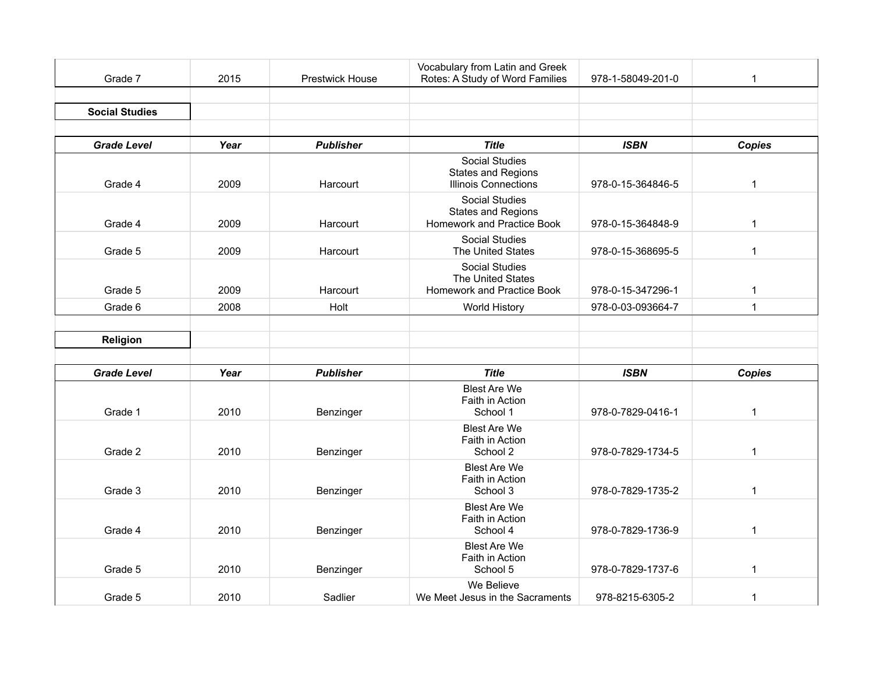| Grade 7               | 2015 | <b>Prestwick House</b> | Vocabulary from Latin and Greek<br>Rotes: A Study of Word Families                | 978-1-58049-201-0 | 1             |
|-----------------------|------|------------------------|-----------------------------------------------------------------------------------|-------------------|---------------|
|                       |      |                        |                                                                                   |                   |               |
| <b>Social Studies</b> |      |                        |                                                                                   |                   |               |
|                       |      |                        |                                                                                   |                   |               |
| <b>Grade Level</b>    | Year | <b>Publisher</b>       | <b>Title</b>                                                                      | <b>ISBN</b>       | <b>Copies</b> |
| Grade 4               | 2009 | Harcourt               | <b>Social Studies</b><br><b>States and Regions</b><br><b>Illinois Connections</b> | 978-0-15-364846-5 | $\mathbf{1}$  |
| Grade 4               | 2009 | Harcourt               | <b>Social Studies</b><br><b>States and Regions</b><br>Homework and Practice Book  | 978-0-15-364848-9 | $\mathbf 1$   |
| Grade 5               | 2009 | Harcourt               | <b>Social Studies</b><br>The United States                                        | 978-0-15-368695-5 | $\mathbf{1}$  |
| Grade 5               | 2009 | Harcourt               | <b>Social Studies</b><br>The United States<br>Homework and Practice Book          | 978-0-15-347296-1 | 1             |
| Grade 6               | 2008 | Holt                   | <b>World History</b>                                                              | 978-0-03-093664-7 | $\mathbf 1$   |
|                       |      |                        |                                                                                   |                   |               |
| Religion              |      |                        |                                                                                   |                   |               |
|                       |      |                        |                                                                                   |                   |               |
| <b>Grade Level</b>    | Year | <b>Publisher</b>       | <b>Title</b>                                                                      | <b>ISBN</b>       | <b>Copies</b> |
| Grade 1               | 2010 | Benzinger              | <b>Blest Are We</b><br>Faith in Action<br>School 1                                | 978-0-7829-0416-1 | $\mathbf 1$   |
| Grade 2               | 2010 | Benzinger              | <b>Blest Are We</b><br>Faith in Action<br>School 2                                | 978-0-7829-1734-5 | 1             |
| Grade 3               | 2010 | Benzinger              | <b>Blest Are We</b><br>Faith in Action<br>School 3                                | 978-0-7829-1735-2 | $\mathbf 1$   |
| Grade 4               | 2010 | Benzinger              | <b>Blest Are We</b><br>Faith in Action<br>School 4                                | 978-0-7829-1736-9 | $\mathbf{1}$  |
| Grade 5               | 2010 | Benzinger              | <b>Blest Are We</b><br>Faith in Action<br>School 5                                | 978-0-7829-1737-6 | $\mathbf 1$   |
| Grade 5               | 2010 | Sadlier                | We Believe<br>We Meet Jesus in the Sacraments                                     | 978-8215-6305-2   | 1             |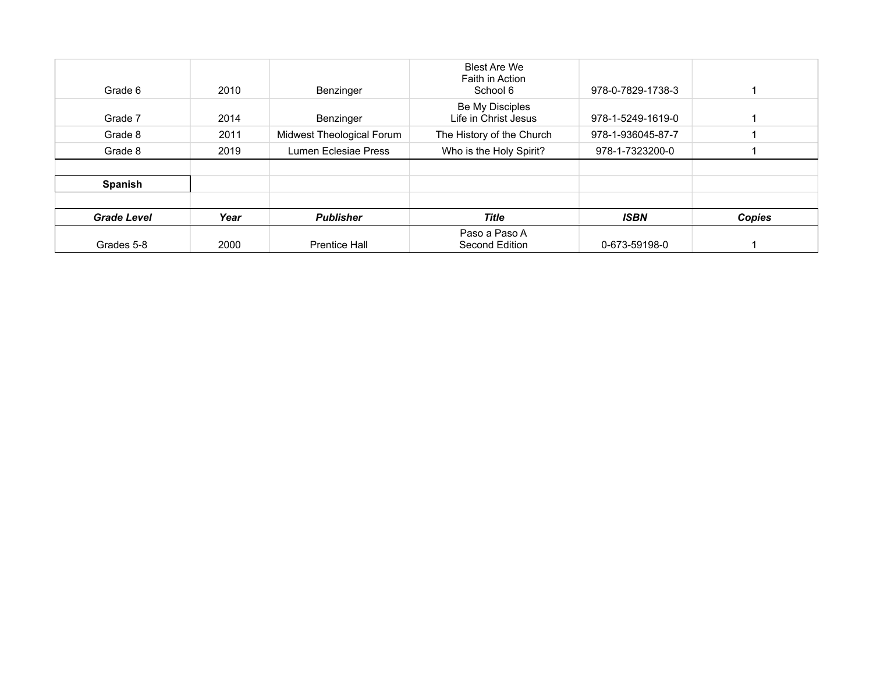| <b>Grade Level</b> | Year | <b>Publisher</b>          | Title<br>Paso a Paso A                             | <b>ISBN</b>       | Copies |
|--------------------|------|---------------------------|----------------------------------------------------|-------------------|--------|
| Spanish            |      |                           |                                                    |                   |        |
| Grade 8            | 2019 | Lumen Eclesiae Press      | Who is the Holy Spirit?                            | 978-1-7323200-0   |        |
| Grade 8            | 2011 | Midwest Theological Forum | The History of the Church                          | 978-1-936045-87-7 |        |
| Grade 7            | 2014 | Benzinger                 | Be My Disciples<br>Life in Christ Jesus            | 978-1-5249-1619-0 |        |
| Grade 6            | 2010 | Benzinger                 | <b>Blest Are We</b><br>Faith in Action<br>School 6 | 978-0-7829-1738-3 |        |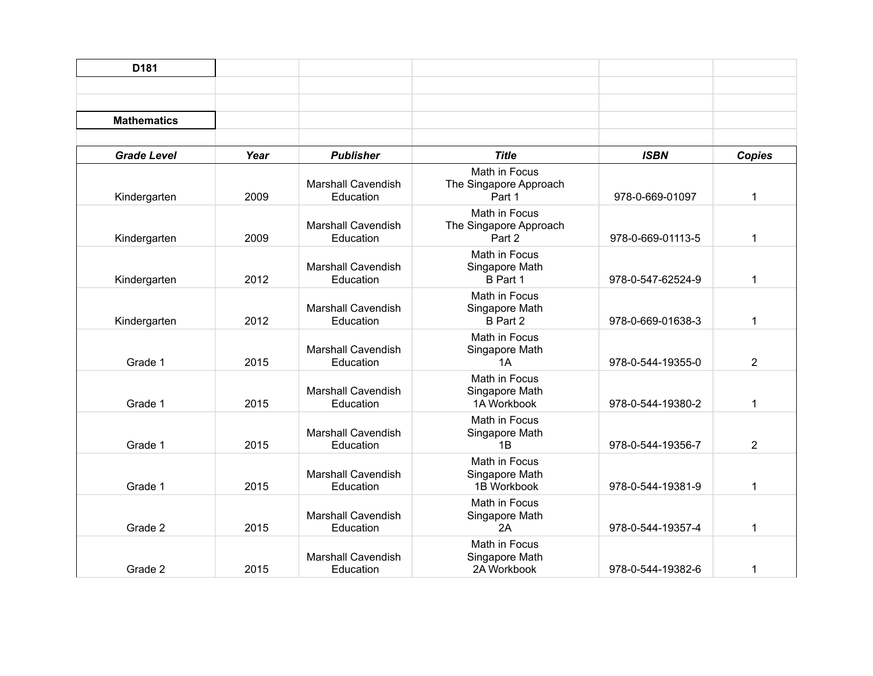| D <sub>181</sub>   |      |                                        |                                                   |                   |                |
|--------------------|------|----------------------------------------|---------------------------------------------------|-------------------|----------------|
| <b>Mathematics</b> |      |                                        |                                                   |                   |                |
| <b>Grade Level</b> | Year | <b>Publisher</b>                       | <b>Title</b>                                      | <b>ISBN</b>       | <b>Copies</b>  |
| Kindergarten       | 2009 | <b>Marshall Cavendish</b><br>Education | Math in Focus<br>The Singapore Approach<br>Part 1 | 978-0-669-01097   | $\mathbf 1$    |
| Kindergarten       | 2009 | <b>Marshall Cavendish</b><br>Education | Math in Focus<br>The Singapore Approach<br>Part 2 | 978-0-669-01113-5 | 1              |
| Kindergarten       | 2012 | <b>Marshall Cavendish</b><br>Education | Math in Focus<br>Singapore Math<br>B Part 1       | 978-0-547-62524-9 | $\mathbf 1$    |
| Kindergarten       | 2012 | <b>Marshall Cavendish</b><br>Education | Math in Focus<br>Singapore Math<br>B Part 2       | 978-0-669-01638-3 | 1              |
| Grade 1            | 2015 | <b>Marshall Cavendish</b><br>Education | Math in Focus<br>Singapore Math<br>1A             | 978-0-544-19355-0 | $\overline{2}$ |
| Grade 1            | 2015 | <b>Marshall Cavendish</b><br>Education | Math in Focus<br>Singapore Math<br>1A Workbook    | 978-0-544-19380-2 | $\mathbf 1$    |
| Grade 1            | 2015 | <b>Marshall Cavendish</b><br>Education | Math in Focus<br>Singapore Math<br>1B             | 978-0-544-19356-7 | $\overline{2}$ |
| Grade 1            | 2015 | <b>Marshall Cavendish</b><br>Education | Math in Focus<br>Singapore Math<br>1B Workbook    | 978-0-544-19381-9 | 1              |
| Grade 2            | 2015 | <b>Marshall Cavendish</b><br>Education | Math in Focus<br>Singapore Math<br>2A             | 978-0-544-19357-4 | 1              |
| Grade 2            | 2015 | <b>Marshall Cavendish</b><br>Education | Math in Focus<br>Singapore Math<br>2A Workbook    | 978-0-544-19382-6 | 1              |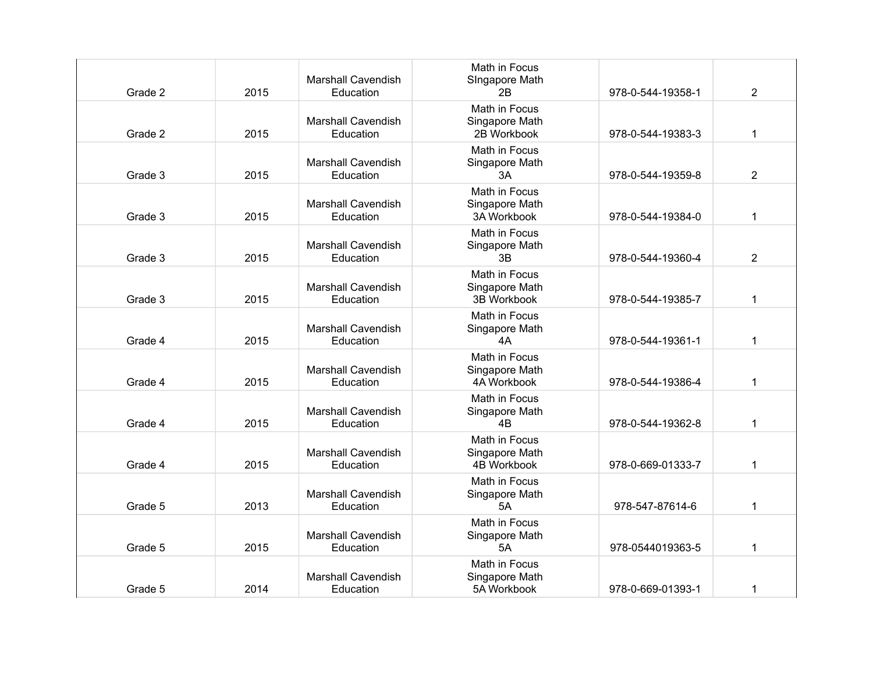| Grade 2 | 2015 | <b>Marshall Cavendish</b><br>Education | Math in Focus<br>SIngapore Math<br>2Β          | 978-0-544-19358-1 | $\overline{2}$ |
|---------|------|----------------------------------------|------------------------------------------------|-------------------|----------------|
| Grade 2 | 2015 | <b>Marshall Cavendish</b><br>Education | Math in Focus<br>Singapore Math<br>2B Workbook | 978-0-544-19383-3 | $\mathbf{1}$   |
| Grade 3 | 2015 | <b>Marshall Cavendish</b><br>Education | Math in Focus<br>Singapore Math<br>ЗA          | 978-0-544-19359-8 | $\overline{2}$ |
| Grade 3 | 2015 | <b>Marshall Cavendish</b><br>Education | Math in Focus<br>Singapore Math<br>3A Workbook | 978-0-544-19384-0 | 1              |
| Grade 3 | 2015 | <b>Marshall Cavendish</b><br>Education | Math in Focus<br>Singapore Math<br>3B          | 978-0-544-19360-4 | 2              |
| Grade 3 | 2015 | <b>Marshall Cavendish</b><br>Education | Math in Focus<br>Singapore Math<br>3B Workbook | 978-0-544-19385-7 | 1              |
| Grade 4 | 2015 | <b>Marshall Cavendish</b><br>Education | Math in Focus<br>Singapore Math<br>4A          | 978-0-544-19361-1 | 1              |
| Grade 4 | 2015 | <b>Marshall Cavendish</b><br>Education | Math in Focus<br>Singapore Math<br>4A Workbook | 978-0-544-19386-4 | 1              |
| Grade 4 | 2015 | <b>Marshall Cavendish</b><br>Education | Math in Focus<br>Singapore Math<br>4B          | 978-0-544-19362-8 | $\mathbf 1$    |
| Grade 4 | 2015 | <b>Marshall Cavendish</b><br>Education | Math in Focus<br>Singapore Math<br>4B Workbook | 978-0-669-01333-7 | $\mathbf{1}$   |
| Grade 5 | 2013 | <b>Marshall Cavendish</b><br>Education | Math in Focus<br>Singapore Math<br>5A          | 978-547-87614-6   | $\mathbf{1}$   |
| Grade 5 | 2015 | <b>Marshall Cavendish</b><br>Education | Math in Focus<br>Singapore Math<br><b>5A</b>   | 978-0544019363-5  | $\mathbf{1}$   |
| Grade 5 | 2014 | <b>Marshall Cavendish</b><br>Education | Math in Focus<br>Singapore Math<br>5A Workbook | 978-0-669-01393-1 | 1              |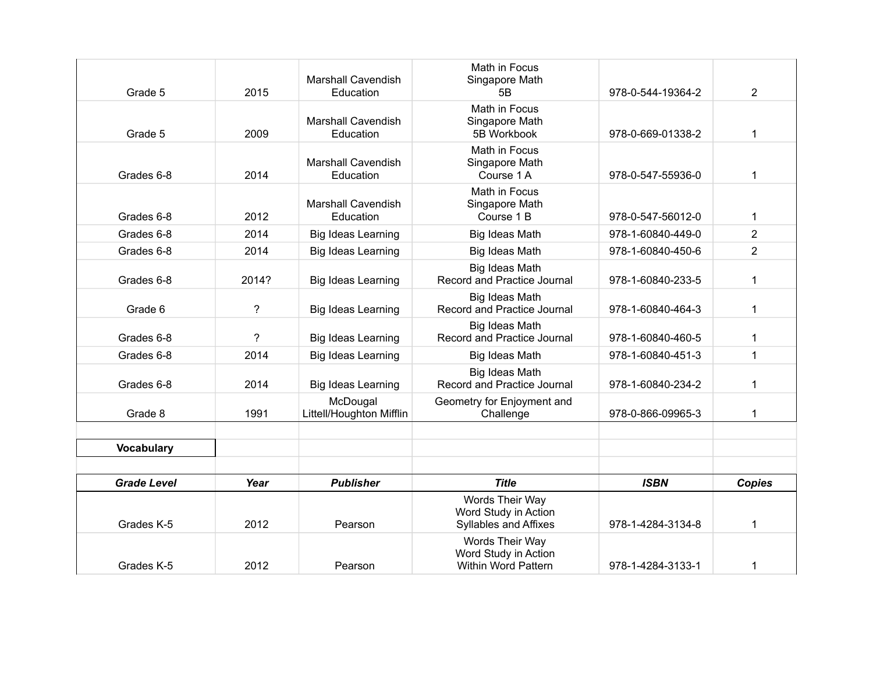| Grade 5            | 2015  | <b>Marshall Cavendish</b><br>Education | Math in Focus<br>Singapore Math<br>5Β                            | 978-0-544-19364-2 | $\overline{2}$ |
|--------------------|-------|----------------------------------------|------------------------------------------------------------------|-------------------|----------------|
| Grade 5            | 2009  | <b>Marshall Cavendish</b><br>Education | Math in Focus<br>Singapore Math<br>5B Workbook                   | 978-0-669-01338-2 | $\mathbf 1$    |
| Grades 6-8         | 2014  | <b>Marshall Cavendish</b><br>Education | Math in Focus<br>Singapore Math<br>Course 1 A                    | 978-0-547-55936-0 | 1              |
| Grades 6-8         | 2012  | <b>Marshall Cavendish</b><br>Education | Math in Focus<br>Singapore Math<br>Course 1 B                    | 978-0-547-56012-0 | 1              |
| Grades 6-8         | 2014  | <b>Big Ideas Learning</b>              | Big Ideas Math                                                   | 978-1-60840-449-0 | $\overline{2}$ |
| Grades 6-8         | 2014  | Big Ideas Learning                     | <b>Big Ideas Math</b>                                            | 978-1-60840-450-6 | $\overline{2}$ |
| Grades 6-8         | 2014? | Big Ideas Learning                     | Big Ideas Math<br>Record and Practice Journal                    | 978-1-60840-233-5 | $\mathbf 1$    |
| Grade 6            | ?     | Big Ideas Learning                     | Big Ideas Math<br>Record and Practice Journal                    | 978-1-60840-464-3 | $\mathbf{1}$   |
| Grades 6-8         | ?     | Big Ideas Learning                     | <b>Big Ideas Math</b><br>Record and Practice Journal             | 978-1-60840-460-5 | $\mathbf 1$    |
| Grades 6-8         | 2014  | Big Ideas Learning                     | Big Ideas Math                                                   | 978-1-60840-451-3 | $\mathbf{1}$   |
| Grades 6-8         | 2014  | Big Ideas Learning                     | Big Ideas Math<br>Record and Practice Journal                    | 978-1-60840-234-2 | 1              |
| Grade 8            | 1991  | McDougal<br>Littell/Houghton Mifflin   | Geometry for Enjoyment and<br>Challenge                          | 978-0-866-09965-3 | 1              |
| <b>Vocabulary</b>  |       |                                        |                                                                  |                   |                |
| <b>Grade Level</b> | Year  | <b>Publisher</b>                       | <b>Title</b>                                                     | <b>ISBN</b>       | <b>Copies</b>  |
| Grades K-5         | 2012  | Pearson                                | Words Their Way<br>Word Study in Action<br>Syllables and Affixes | 978-1-4284-3134-8 | 1              |
| Grades K-5         | 2012  | Pearson                                | Words Their Way<br>Word Study in Action<br>Within Word Pattern   | 978-1-4284-3133-1 | 1              |